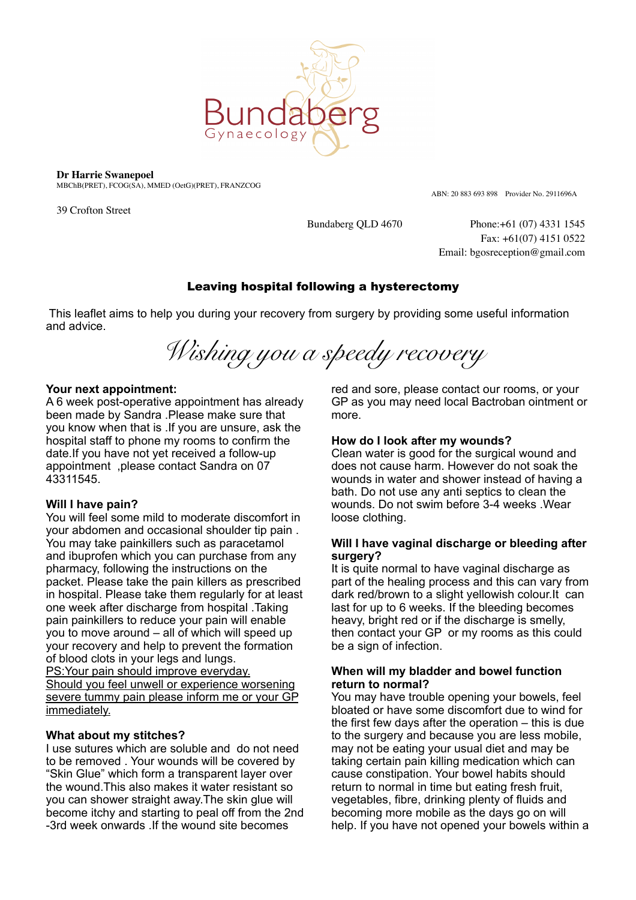

**Dr Harrie Swanepoel**

MBChB(PRET), FCOG(SA), MMED (OetG)(PRET), FRANZCOG

39 Crofton Street

ABN: 20 883 693 898 Provider No. 2911696A

Bundaberg QLD 4670 Phone:+61 (07) 4331 1545 Fax: +61(07) 4151 0522 Email: bgosreception@gmail.com

# Leaving hospital following a hysterectomy

 This leaflet aims to help you during your recovery from surgery by providing some useful information and advice.

*Wishing you a speedy recovery* 

### **Your next appointment:**

A 6 week post-operative appointment has already been made by Sandra .Please make sure that you know when that is .If you are unsure, ask the hospital staff to phone my rooms to confirm the date.If you have not yet received a follow-up appointment ,please contact Sandra on 07 43311545.

# **Will I have pain?**

You will feel some mild to moderate discomfort in your abdomen and occasional shoulder tip pain . You may take painkillers such as paracetamol and ibuprofen which you can purchase from any pharmacy, following the instructions on the packet. Please take the pain killers as prescribed in hospital. Please take them regularly for at least one week after discharge from hospital .Taking pain painkillers to reduce your pain will enable you to move around – all of which will speed up your recovery and help to prevent the formation of blood clots in your legs and lungs. PS:Your pain should improve everyday.

Should you feel unwell or experience worsening severe tummy pain please inform me or your GP immediately.

# **What about my stitches?**

I use sutures which are soluble and do not need to be removed . Your wounds will be covered by "Skin Glue" which form a transparent layer over the wound.This also makes it water resistant so you can shower straight away.The skin glue will become itchy and starting to peal off from the 2nd -3rd week onwards .If the wound site becomes

red and sore, please contact our rooms, or your GP as you may need local Bactroban ointment or more.

# **How do I look after my wounds?**

Clean water is good for the surgical wound and does not cause harm. However do not soak the wounds in water and shower instead of having a bath. Do not use any anti septics to clean the wounds. Do not swim before 3-4 weeks .Wear loose clothing.

### **Will I have vaginal discharge or bleeding after surgery?**

It is quite normal to have vaginal discharge as part of the healing process and this can vary from dark red/brown to a slight yellowish colour.It can last for up to 6 weeks. If the bleeding becomes heavy, bright red or if the discharge is smelly, then contact your GP or my rooms as this could be a sign of infection.

### **When will my bladder and bowel function return to normal?**

You may have trouble opening your bowels, feel bloated or have some discomfort due to wind for the first few days after the operation – this is due to the surgery and because you are less mobile, may not be eating your usual diet and may be taking certain pain killing medication which can cause constipation. Your bowel habits should return to normal in time but eating fresh fruit, vegetables, fibre, drinking plenty of fluids and becoming more mobile as the days go on will help. If you have not opened your bowels within a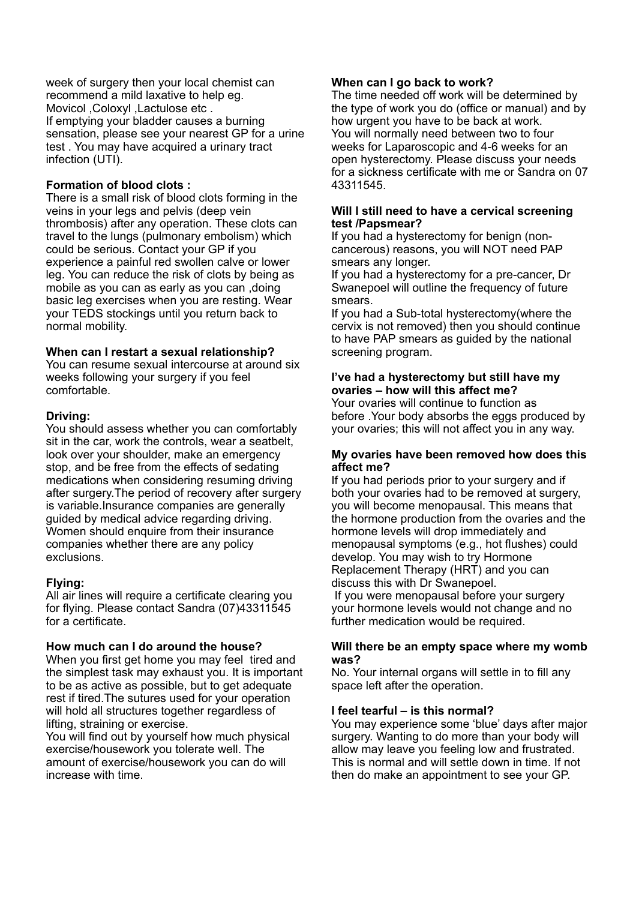week of surgery then your local chemist can recommend a mild laxative to help eg. Movicol ,Coloxyl ,Lactulose etc . If emptying your bladder causes a burning sensation, please see your nearest GP for a urine test . You may have acquired a urinary tract infection (UTI).

## **Formation of blood clots :**

There is a small risk of blood clots forming in the veins in your legs and pelvis (deep vein thrombosis) after any operation. These clots can travel to the lungs (pulmonary embolism) which could be serious. Contact your GP if you experience a painful red swollen calve or lower leg. You can reduce the risk of clots by being as mobile as you can as early as you can ,doing basic leg exercises when you are resting. Wear your TEDS stockings until you return back to normal mobility.

#### **When can I restart a sexual relationship?**

You can resume sexual intercourse at around six weeks following your surgery if you feel comfortable.

### **Driving:**

You should assess whether you can comfortably sit in the car, work the controls, wear a seatbelt, look over your shoulder, make an emergency stop, and be free from the effects of sedating medications when considering resuming driving after surgery.The period of recovery after surgery is variable.Insurance companies are generally guided by medical advice regarding driving. Women should enquire from their insurance companies whether there are any policy exclusions.

# **Flying:**

All air lines will require a certificate clearing you for flying. Please contact Sandra (07)43311545 for a certificate.

#### **How much can I do around the house?**

When you first get home you may feel tired and the simplest task may exhaust you. It is important to be as active as possible, but to get adequate rest if tired.The sutures used for your operation will hold all structures together regardless of lifting, straining or exercise.

You will find out by yourself how much physical exercise/housework you tolerate well. The amount of exercise/housework you can do will increase with time.

### **When can I go back to work?**

The time needed off work will be determined by the type of work you do (office or manual) and by how urgent you have to be back at work. You will normally need between two to four weeks for Laparoscopic and 4-6 weeks for an open hysterectomy. Please discuss your needs for a sickness certificate with me or Sandra on 07 43311545.

#### **Will I still need to have a cervical screening test /Papsmear?**

If you had a hysterectomy for benign (noncancerous) reasons, you will NOT need PAP smears any longer.

If you had a hysterectomy for a pre-cancer, Dr Swanepoel will outline the frequency of future smears.

If you had a Sub-total hysterectomy(where the cervix is not removed) then you should continue to have PAP smears as guided by the national screening program.

## **I've had a hysterectomy but still have my ovaries – how will this affect me?**

Your ovaries will continue to function as before .Your body absorbs the eggs produced by your ovaries; this will not affect you in any way.

#### **My ovaries have been removed how does this affect me?**

If you had periods prior to your surgery and if both your ovaries had to be removed at surgery, you will become menopausal. This means that the hormone production from the ovaries and the hormone levels will drop immediately and menopausal symptoms (e.g., hot flushes) could develop. You may wish to try Hormone Replacement Therapy (HRT) and you can discuss this with Dr Swanepoel.

 If you were menopausal before your surgery your hormone levels would not change and no further medication would be required.

#### **Will there be an empty space where my womb was?**

No. Your internal organs will settle in to fill any space left after the operation.

#### **I feel tearful – is this normal?**

You may experience some 'blue' days after major surgery. Wanting to do more than your body will allow may leave you feeling low and frustrated. This is normal and will settle down in time. If not then do make an appointment to see your GP.